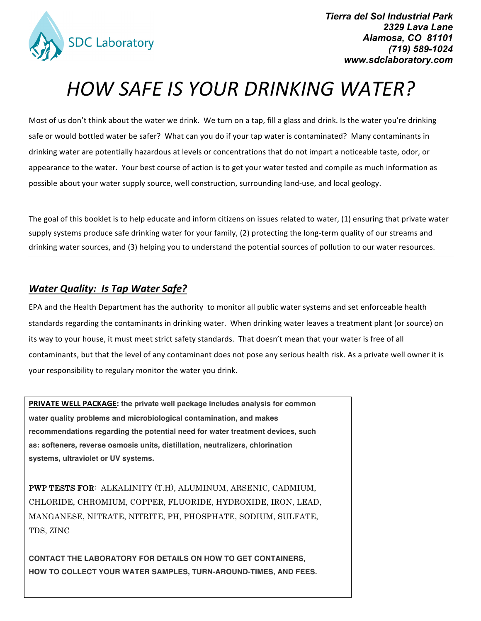

# *HOW SAFE IS YOUR DRINKING WATER?*

Most of us don't think about the water we drink. We turn on a tap, fill a glass and drink. Is the water you're drinking safe or would bottled water be safer? What can you do if your tap water is contaminated? Many contaminants in drinking water are potentially hazardous at levels or concentrations that do not impart a noticeable taste, odor, or appearance to the water. Your best course of action is to get your water tested and compile as much information as possible about your water supply source, well construction, surrounding land-use, and local geology.

The goal of this booklet is to help educate and inform citizens on issues related to water,  $(1)$  ensuring that private water supply systems produce safe drinking water for your family, (2) protecting the long-term quality of our streams and drinking water sources, and (3) helping you to understand the potential sources of pollution to our water resources.

# *Water Quality: Is Tap Water Safe?*

EPA and the Health Department has the authority to monitor all public water systems and set enforceable health standards regarding the contaminants in drinking water. When drinking water leaves a treatment plant (or source) on its way to your house, it must meet strict safety standards. That doesn't mean that your water is free of all contaminants, but that the level of any contaminant does not pose any serious health risk. As a private well owner it is your responsibility to regulary monitor the water you drink.

**PRIVATE WELL PACKAGE:** the private well package includes analysis for common **water quality problems and microbiological contamination, and makes recommendations regarding the potential need for water treatment devices, such as: softeners, reverse osmosis units, distillation, neutralizers, chlorination systems, ultraviolet or UV systems.**

PWP TESTS FOR: ALKALINITY (T.H), ALUMINUM, ARSENIC, CADMIUM, CHLORIDE, CHROMIUM, COPPER, FLUORIDE, HYDROXIDE, IRON, LEAD, MANGANESE, NITRATE, NITRITE, PH, PHOSPHATE, SODIUM, SULFATE, TDS, ZINC

**CONTACT THE LABORATORY FOR DETAILS ON HOW TO GET CONTAINERS, HOW TO COLLECT YOUR WATER SAMPLES, TURN-AROUND-TIMES, AND FEES.**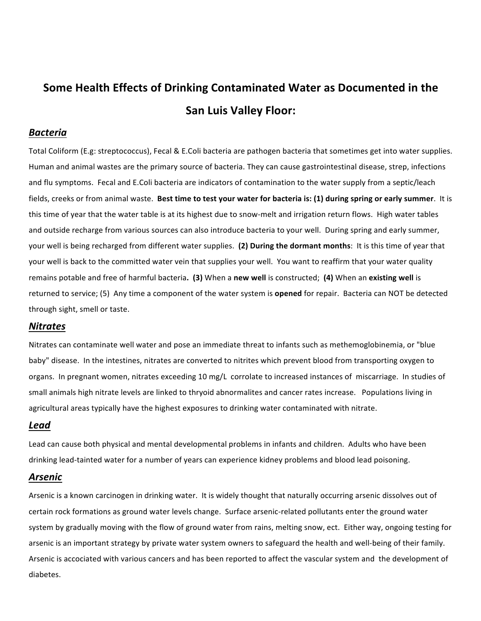# **Some Health Effects of Drinking Contaminated Water as Documented in the San Luis Valley Floor:**

#### *Bacteria*

Total Coliform (E.g: streptococcus), Fecal & E.Coli bacteria are pathogen bacteria that sometimes get into water supplies. Human and animal wastes are the primary source of bacteria. They can cause gastrointestinal disease, strep, infections and flu symptoms. Fecal and E.Coli bacteria are indicators of contamination to the water supply from a septic/leach fields, creeks or from animal waste. Best time to test your water for bacteria is: (1) during spring or early summer. It is this time of year that the water table is at its highest due to snow-melt and irrigation return flows. High water tables and outside recharge from various sources can also introduce bacteria to your well. During spring and early summer, your well is being recharged from different water supplies. (2) During the dormant months: It is this time of year that your well is back to the committed water vein that supplies your well. You want to reaffirm that your water quality remains potable and free of harmful bacteria. (3) When a new well is constructed; (4) When an existing well is returned to service; (5) Any time a component of the water system is **opened** for repair. Bacteria can NOT be detected through sight, smell or taste.

#### *Nitrates*

Nitrates can contaminate well water and pose an immediate threat to infants such as methemoglobinemia, or "blue baby" disease. In the intestines, nitrates are converted to nitrites which prevent blood from transporting oxygen to organs. In pregnant women, nitrates exceeding 10 mg/L corrolate to increased instances of miscarriage. In studies of small animals high nitrate levels are linked to thryoid abnormalites and cancer rates increase. Populations living in agricultural areas typically have the highest exposures to drinking water contaminated with nitrate.

# *Lead*

Lead can cause both physical and mental developmental problems in infants and children. Adults who have been drinking lead-tainted water for a number of years can experience kidney problems and blood lead poisoning.

#### *Arsenic*

Arsenic is a known carcinogen in drinking water. It is widely thought that naturally occurring arsenic dissolves out of certain rock formations as ground water levels change. Surface arsenic-related pollutants enter the ground water system by gradually moving with the flow of ground water from rains, melting snow, ect. Either way, ongoing testing for arsenic is an important strategy by private water system owners to safeguard the health and well-being of their family. Arsenic is accociated with various cancers and has been reported to affect the vascular system and the development of diabetes.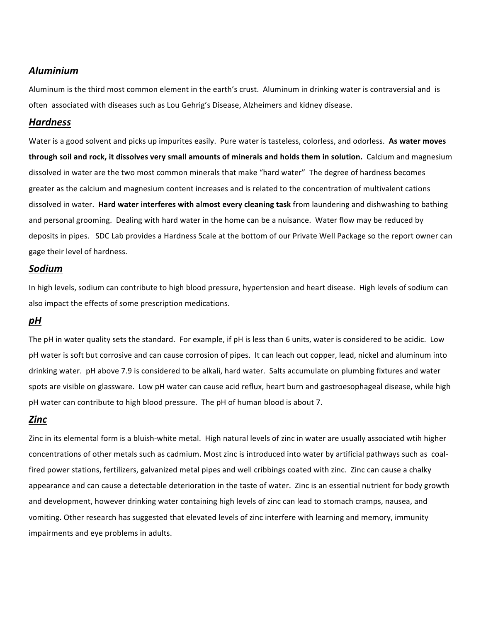#### *Aluminium*

Aluminum is the third most common element in the earth's crust. Aluminum in drinking water is contraversial and is often associated with diseases such as Lou Gehrig's Disease, Alzheimers and kidney disease.

#### *Hardness*

Water is a good solvent and picks up impurites easily. Pure water is tasteless, colorless, and odorless. As water moves **through soil and rock, it dissolves very small amounts of minerals and holds them in solution.** Calcium and magnesium dissolved in water are the two most common minerals that make "hard water" The degree of hardness becomes greater as the calcium and magnesium content increases and is related to the concentration of multivalent cations dissolved in water. Hard water interferes with almost every cleaning task from laundering and dishwashing to bathing and personal grooming. Dealing with hard water in the home can be a nuisance. Water flow may be reduced by deposits in pipes. SDC Lab provides a Hardness Scale at the bottom of our Private Well Package so the report owner can gage their level of hardness.

#### *Sodium*

In high levels, sodium can contribute to high blood pressure, hypertension and heart disease. High levels of sodium can also impact the effects of some prescription medications.

#### *pH*

The  $pH$  in water quality sets the standard. For example, if  $pH$  is less than 6 units, water is considered to be acidic. Low pH water is soft but corrosive and can cause corrosion of pipes. It can leach out copper, lead, nickel and aluminum into drinking water. pH above 7.9 is considered to be alkali, hard water. Salts accumulate on plumbing fixtures and water spots are visible on glassware. Low pH water can cause acid reflux, heart burn and gastroesophageal disease, while high pH water can contribute to high blood pressure. The pH of human blood is about 7.

#### *Zinc*

Zinc in its elemental form is a bluish-white metal. High natural levels of zinc in water are usually associated wtih higher concentrations of other metals such as cadmium. Most zinc is introduced into water by artificial pathways such as coalfired power stations, fertilizers, galvanized metal pipes and well cribbings coated with zinc. Zinc can cause a chalky appearance and can cause a detectable deterioration in the taste of water. Zinc is an essential nutrient for body growth and development, however drinking water containing high levels of zinc can lead to stomach cramps, nausea, and vomiting. Other research has suggested that elevated levels of zinc interfere with learning and memory, immunity impairments and eye problems in adults.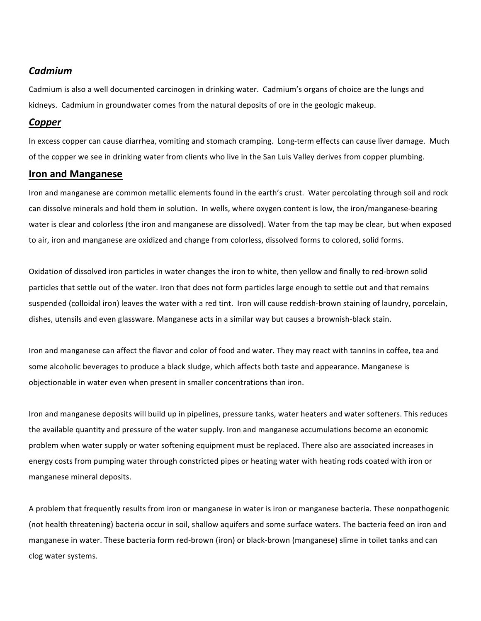#### *Cadmium*

Cadmium is also a well documented carcinogen in drinking water. Cadmium's organs of choice are the lungs and kidneys. Cadmium in groundwater comes from the natural deposits of ore in the geologic makeup.

#### *Copper*

In excess copper can cause diarrhea, vomiting and stomach cramping. Long-term effects can cause liver damage. Much of the copper we see in drinking water from clients who live in the San Luis Valley derives from copper plumbing.

#### **Iron and Manganese**

Iron and manganese are common metallic elements found in the earth's crust. Water percolating through soil and rock can dissolve minerals and hold them in solution. In wells, where oxygen content is low, the iron/manganese-bearing water is clear and colorless (the iron and manganese are dissolved). Water from the tap may be clear, but when exposed to air, iron and manganese are oxidized and change from colorless, dissolved forms to colored, solid forms.

Oxidation of dissolved iron particles in water changes the iron to white, then yellow and finally to red-brown solid particles that settle out of the water. Iron that does not form particles large enough to settle out and that remains suspended (colloidal iron) leaves the water with a red tint. Iron will cause reddish-brown staining of laundry, porcelain, dishes, utensils and even glassware. Manganese acts in a similar way but causes a brownish-black stain.

Iron and manganese can affect the flavor and color of food and water. They may react with tannins in coffee, tea and some alcoholic beverages to produce a black sludge, which affects both taste and appearance. Manganese is objectionable in water even when present in smaller concentrations than iron.

Iron and manganese deposits will build up in pipelines, pressure tanks, water heaters and water softeners. This reduces the available quantity and pressure of the water supply. Iron and manganese accumulations become an economic problem when water supply or water softening equipment must be replaced. There also are associated increases in energy costs from pumping water through constricted pipes or heating water with heating rods coated with iron or manganese mineral deposits.

A problem that frequently results from iron or manganese in water is iron or manganese bacteria. These nonpathogenic (not health threatening) bacteria occur in soil, shallow aquifers and some surface waters. The bacteria feed on iron and manganese in water. These bacteria form red-brown (iron) or black-brown (manganese) slime in toilet tanks and can clog water systems.